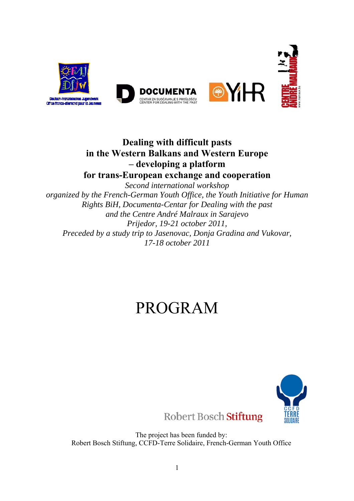

## **Dealing with difficult pasts in the Western Balkans and Western Europe – developing a platform for trans-European exchange and cooperation**

*Second international workshop organized by the French-German Youth Office, the Youth Initiative for Human Rights BiH, Documenta-Centar for Dealing with the past and the Centre André Malraux in Sarajevo Prijedor, 19-21 october 2011, Preceded by a study trip to Jasenovac, Donja Gradina and Vukovar, 17-18 october 2011* 

# PROGRAM



The project has been funded by:

Robert Bosch Stiftung, CCFD-Terre Solidaire, French-German Youth Office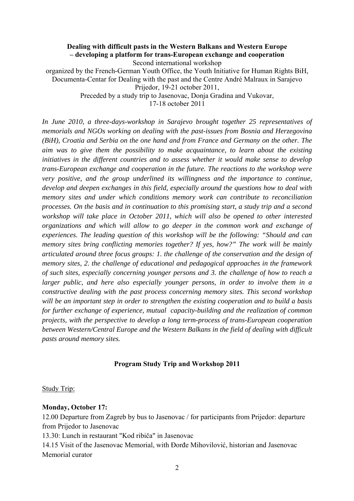#### **Dealing with difficult pasts in the Western Balkans and Western Europe – developing a platform for trans-European exchange and cooperation**  Second international workshop

organized by the French-German Youth Office, the Youth Initiative for Human Rights BiH, Documenta-Centar for Dealing with the past and the Centre André Malraux in Sarajevo Prijedor, 19-21 october 2011, Preceded by a study trip to Jasenovac, Donja Gradina and Vukovar,

17-18 october 2011

*In June 2010, a three-days-workshop in Sarajevo brought together 25 representatives of memorials and NGOs working on dealing with the past-issues from Bosnia and Herzegovina (BiH), Croatia and Serbia on the one hand and from France and Germany on the other. The aim was to give them the possibility to make acquaintance, to learn about the existing initiatives in the different countries and to assess whether it would make sense to develop trans-European exchange and cooperation in the future. The reactions to the workshop were very positive, and the group underlined its willingness and the importance to continue, develop and deepen exchanges in this field, especially around the questions how to deal with memory sites and under which conditions memory work can contribute to reconciliation processes. On the basis and in continuation to this promising start, a study trip and a second workshop will take place in October 2011, which will also be opened to other interested organizations and which will allow to go deeper in the common work and exchange of experiences. The leading question of this workshop will be the following: "Should and can memory sites bring conflicting memories together? If yes, how?" The work will be mainly articulated around three focus groups: 1. the challenge of the conservation and the design of memory sites, 2. the challenge of educational and pedagogical approaches in the framework of such sites, especially concerning younger persons and 3. the challenge of how to reach a larger public, and here also especially younger persons, in order to involve them in a constructive dealing with the past process concerning memory sites. This second workshop will be an important step in order to strengthen the existing cooperation and to build a basis for further exchange of experience, mutual capacity-building and the realization of common projects, with the perspective to develop a long term-process of trans-European cooperation between Western/Central Europe and the Western Balkans in the field of dealing with difficult pasts around memory sites.* 

#### **Program Study Trip and Workshop 2011**

Study Trip:

#### **Monday, October 17:**

12.00 Departure from Zagreb by bus to Jasenovac / for participants from Prijedor: departure from Prijedor to Jasenovac

13.30: Lunch in restaurant "Kod ribiča" in Jasenovac

14.15 Visit of the Jasenovac Memorial, with Đorđe Mihovilović, historian and Jasenovac Memorial curator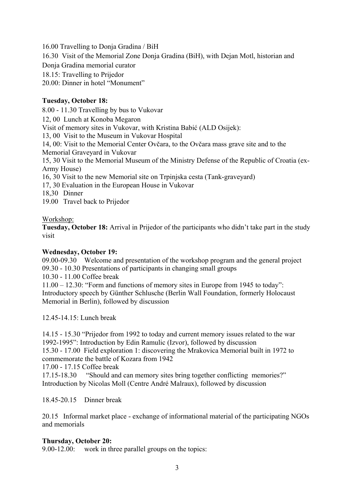16.00 Travelling to Donja Gradina / BiH

16.30 Visit of the Memorial Zone Donja Gradina (BiH), with Dejan Motl, historian and

Donja Gradina memorial curator

18.15: Travelling to Prijedor

20.00: Dinner in hotel "Monument"

### **Tuesday, October 18:**

8.00 - 11.30 Travelling by bus to Vukovar

12, 00 Lunch at Konoba Megaron

Visit of memory sites in Vukovar, with Kristina Babić (ALD Osijek):

13, 00 Visit to the Museum in Vukovar Hospital

14, 00: Visit to the Memorial Center Ovčara, to the Ovčara mass grave site and to the Memorial Graveyard in Vukovar

15, 30 Visit to the Memorial Museum of the Ministry Defense of the Republic of Croatia (ex-Army House)

16, 30 Visit to the new Memorial site on Trpinjska cesta (Tank-graveyard)

17, 30 Evaluation in the European House in Vukovar

18,30 Dinner

19.00 Travel back to Prijedor

Workshop:

**Tuesday, October 18:** Arrival in Prijedor of the participants who didn't take part in the study visit

#### **Wednesday, October 19:**

09.00-09.30 Welcome and presentation of the workshop program and the general project 09.30 - 10.30 Presentations of participants in changing small groups

10.30 - 11.00 Coffee break

11.00 – 12.30: "Form and functions of memory sites in Europe from 1945 to today": Introductory speech by Günther Schlusche (Berlin Wall Foundation, formerly Holocaust Memorial in Berlin), followed by discussion

12.45-14.15: Lunch break

14.15 - 15.30 "Prijedor from 1992 to today and current memory issues related to the war 1992-1995": Introduction by Edin Ramulic (Izvor), followed by discussion

15.30 - 17.00 Field exploration 1: discovering the Mrakovica Memorial built in 1972 to commemorate the battle of Kozara from 1942

17.00 - 17.15 Coffee break

17.15-18.30 "Should and can memory sites bring together conflicting memories?" Introduction by Nicolas Moll (Centre André Malraux), followed by discussion

18.45-20.15 Dinner break

20.15 Informal market place - exchange of informational material of the participating NGOs and memorials

#### **Thursday, October 20:**

9.00-12.00: work in three parallel groups on the topics: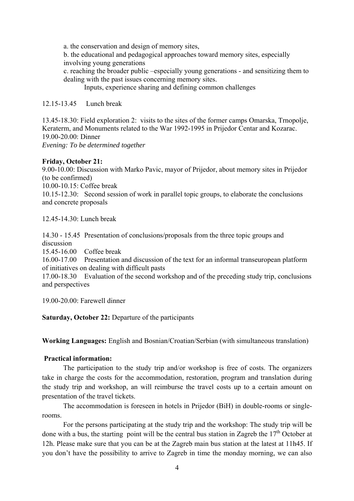a. the conservation and design of memory sites,

b. the educational and pedagogical approaches toward memory sites, especially involving young generations

c. reaching the broader public –especially young generations - and sensitizing them to dealing with the past issues concerning memory sites.

Inputs, experience sharing and defining common challenges

12.15-13.45 Lunch break

13.45-18.30: Field exploration 2: visits to the sites of the former camps Omarska, Trnopolje, Keraterm, and Monuments related to the War 1992-1995 in Prijedor Centar and Kozarac. 19.00-20.00: Dinner *Evening: To be determined together* 

#### **Friday, October 21:**

9.00-10.00: Discussion with Marko Pavic, mayor of Prijedor, about memory sites in Prijedor (to be confirmed)

10.00-10.15: Coffee break

10.15-12.30: Second session of work in parallel topic groups, to elaborate the conclusions and concrete proposals

12.45-14.30: Lunch break

14.30 - 15.45 Presentation of conclusions/proposals from the three topic groups and discussion

15.45-16.00 Coffee break

16.00-17.00 Presentation and discussion of the text for an informal transeuropean platform of initiatives on dealing with difficult pasts

17.00-18.30 Evaluation of the second workshop and of the preceding study trip, conclusions and perspectives

19.00-20.00: Farewell dinner

**Saturday, October 22:** Departure of the participants

**Working Languages:** English and Bosnian/Croatian/Serbian (with simultaneous translation)

#### **Practical information:**

 The participation to the study trip and/or workshop is free of costs. The organizers take in charge the costs for the accommodation, restoration, program and translation during the study trip and workshop, an will reimburse the travel costs up to a certain amount on presentation of the travel tickets.

The accommodation is foreseen in hotels in Prijedor (BiH) in double-rooms or singlerooms.

For the persons participating at the study trip and the workshop: The study trip will be done with a bus, the starting point will be the central bus station in Zagreb the  $17<sup>th</sup>$  October at 12h. Please make sure that you can be at the Zagreb main bus station at the latest at 11h45. If you don't have the possibility to arrive to Zagreb in time the monday morning, we can also